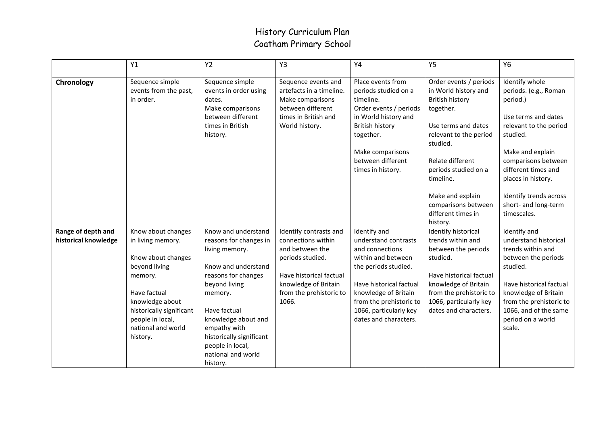## History Curriculum Plan Coatham Primary School

|                                            | Y1                                                                                                                                                                                                             | <b>Y2</b>                                                                                                                                                                                                                                                                          | Y3                                                                                                                                                                         | Y4                                                                                                                                                                                                                                     | Y5                                                                                                                                                                                                                                                                                       | <b>Y6</b>                                                                                                                                                                                                                                                                 |
|--------------------------------------------|----------------------------------------------------------------------------------------------------------------------------------------------------------------------------------------------------------------|------------------------------------------------------------------------------------------------------------------------------------------------------------------------------------------------------------------------------------------------------------------------------------|----------------------------------------------------------------------------------------------------------------------------------------------------------------------------|----------------------------------------------------------------------------------------------------------------------------------------------------------------------------------------------------------------------------------------|------------------------------------------------------------------------------------------------------------------------------------------------------------------------------------------------------------------------------------------------------------------------------------------|---------------------------------------------------------------------------------------------------------------------------------------------------------------------------------------------------------------------------------------------------------------------------|
| Chronology                                 | Sequence simple<br>events from the past,<br>in order.                                                                                                                                                          | Sequence simple<br>events in order using<br>dates.<br>Make comparisons<br>between different<br>times in British<br>history.                                                                                                                                                        | Sequence events and<br>artefacts in a timeline.<br>Make comparisons<br>between different<br>times in British and<br>World history.                                         | Place events from<br>periods studied on a<br>timeline.<br>Order events / periods<br>in World history and<br><b>British history</b><br>together.<br>Make comparisons<br>between different<br>times in history.                          | Order events / periods<br>in World history and<br><b>British history</b><br>together.<br>Use terms and dates<br>relevant to the period<br>studied.<br>Relate different<br>periods studied on a<br>timeline.<br>Make and explain<br>comparisons between<br>different times in<br>history. | Identify whole<br>periods. (e.g., Roman<br>period.)<br>Use terms and dates<br>relevant to the period<br>studied.<br>Make and explain<br>comparisons between<br>different times and<br>places in history.<br>Identify trends across<br>short- and long-term<br>timescales. |
| Range of depth and<br>historical knowledge | Know about changes<br>in living memory.<br>Know about changes<br>beyond living<br>memory.<br>Have factual<br>knowledge about<br>historically significant<br>people in local,<br>national and world<br>history. | Know and understand<br>reasons for changes in<br>living memory.<br>Know and understand<br>reasons for changes<br>beyond living<br>memory.<br>Have factual<br>knowledge about and<br>empathy with<br>historically significant<br>people in local,<br>national and world<br>history. | Identify contrasts and<br>connections within<br>and between the<br>periods studied.<br>Have historical factual<br>knowledge of Britain<br>from the prehistoric to<br>1066. | Identify and<br>understand contrasts<br>and connections<br>within and between<br>the periods studied.<br>Have historical factual<br>knowledge of Britain<br>from the prehistoric to<br>1066, particularly key<br>dates and characters. | Identify historical<br>trends within and<br>between the periods<br>studied.<br>Have historical factual<br>knowledge of Britain<br>from the prehistoric to<br>1066, particularly key<br>dates and characters.                                                                             | Identify and<br>understand historical<br>trends within and<br>between the periods<br>studied.<br>Have historical factual<br>knowledge of Britain<br>from the prehistoric to<br>1066, and of the same<br>period on a world<br>scale.                                       |